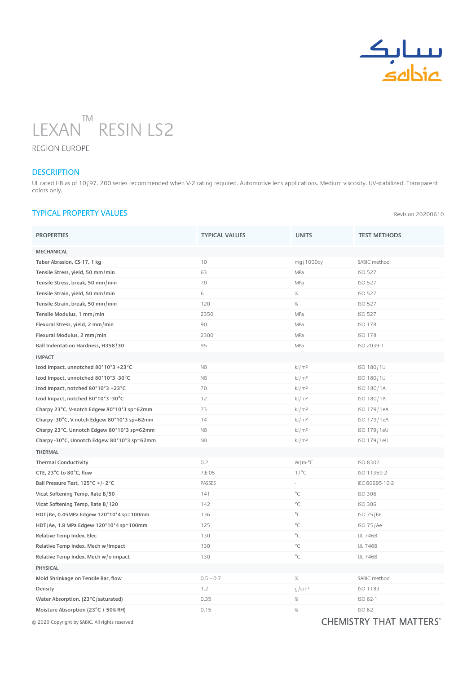

Revision 20200610



REGION EUROPE

## **DESCRIPTION**

UL rated HB as of 10/97. 200 series recommended when V-2 rating required. Automotive lens applications. Medium viscosity. UV-stabilized. Transparent colors only.

## TYPICAL PROPERTY VALUES

| <b>PROPERTIES</b>                           | <b>TYPICAL VALUES</b> | <b>UNITS</b>      | <b>TEST METHODS</b> |
|---------------------------------------------|-----------------------|-------------------|---------------------|
| <b>MECHANICAL</b>                           |                       |                   |                     |
| Taber Abrasion, CS-17, 1 kg                 | 10                    | mg/1000cy         | SABIC method        |
| Tensile Stress, yield, 50 mm/min            | 63                    | MPa               | <b>ISO 527</b>      |
| Tensile Stress, break, 50 mm/min            | 70                    | MPa               | <b>ISO 527</b>      |
| Tensile Strain, yield, 50 mm/min            | 6                     | %                 | <b>ISO 527</b>      |
| Tensile Strain, break, 50 mm/min            | 120                   | $\%$              | <b>ISO 527</b>      |
| Tensile Modulus, 1 mm/min                   | 2350                  | MPa               | <b>ISO 527</b>      |
| Flexural Stress, yield, 2 mm/min            | 90                    | MPa               | <b>ISO 178</b>      |
| Flexural Modulus, 2 mm/min                  | 2300                  | MPa               | <b>ISO 178</b>      |
| Ball Indentation Hardness, H358/30          | 95                    | MPa               | ISO 2039-1          |
| <b>IMPACT</b>                               |                       |                   |                     |
| Izod Impact, unnotched 80*10*3 +23°C        | NB                    | kJ/m <sup>2</sup> | ISO 180/1U          |
| Izod Impact, unnotched 80*10*3 -30°C        | NB                    | kJ/m <sup>2</sup> | ISO 180/1U          |
| Izod Impact, notched 80*10*3 +23°C          | 70                    | kJ/m <sup>2</sup> | ISO 180/1A          |
| Izod Impact, notched 80*10*3 -30°C          | 12                    | kJ/m <sup>2</sup> | ISO 180/1A          |
| Charpy 23°C, V-notch Edgew 80*10*3 sp=62mm  | 73                    | kJ/m <sup>2</sup> | ISO 179/1eA         |
| Charpy -30°C, V-notch Edgew 80*10*3 sp=62mm | 14                    | kJ/m <sup>2</sup> | ISO 179/1eA         |
| Charpy 23°C, Unnotch Edgew 80*10*3 sp=62mm  | NB                    | kJ/m <sup>2</sup> | ISO 179/1eU         |
| Charpy -30°C, Unnotch Edgew 80*10*3 sp=62mm | <b>NB</b>             | kJ/m <sup>2</sup> | ISO 179/1eU         |
| <b>THERMAL</b>                              |                       |                   |                     |
| <b>Thermal Conductivity</b>                 | 0.2                   | $W/m$ -°C         | <b>ISO 8302</b>     |
| CTE, 23°C to 80°C, flow                     | 7.E-05                | 1/°C              | ISO 11359-2         |
| Ball Pressure Test, 125°C +/-2°C            | PASSES                |                   | IEC 60695-10-2      |
| Vicat Softening Temp, Rate B/50             | 141                   | $^{\circ}$ C      | <b>ISO 306</b>      |
| Vicat Softening Temp, Rate B/120            | 142                   | $^{\circ}$ C      | <b>ISO 306</b>      |
| HDT/Be, 0.45MPa Edgew 120*10*4 sp=100mm     | 136                   | $^{\circ}$ C      | ISO 75/Be           |
| HDT/Ae, 1.8 MPa Edgew 120*10*4 sp=100mm     | 125                   | $^{\circ}$ C      | ISO 75/Ae           |
| Relative Temp Index, Elec                   | 130                   | $^{\circ}C$       | <b>UL 746B</b>      |
| Relative Temp Index, Mech w/impact          | 130                   | $^{\circ}C$       | <b>UL 746B</b>      |
| Relative Temp Index, Mech w/o impact        | 130                   | $^{\circ}C$       | <b>UL 746B</b>      |
| <b>PHYSICAL</b>                             |                       |                   |                     |
| Mold Shrinkage on Tensile Bar, flow         | $0.5 - 0.7$           | $\%$              | SABIC method        |
| Density                                     | 1.2                   | g/cm <sup>3</sup> | ISO 1183            |
| Water Absorption, (23°C/saturated)          | 0.35                  | $\%$              | ISO 62-1            |
| Moisture Absorption (23°C / 50% RH)         | 0.15                  | $\%$              | <b>ISO 62</b>       |
|                                             |                       |                   |                     |

© 2020 Copyright by SABIC. All rights reserved  $\textsf{CHEMISTRY}$  The  $\textsf{CHEMISTRY}$